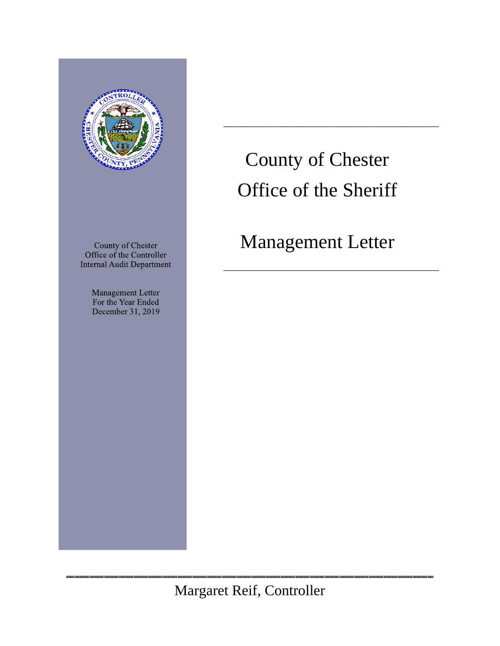

County of Chester Office of the Controller **Internal Audit Department** 

> Management Letter For the Year Ended December 31, 2019

# County of Chester Office of the Sheriff

 $\overline{\phantom{a}}$  ,  $\overline{\phantom{a}}$  ,  $\overline{\phantom{a}}$  ,  $\overline{\phantom{a}}$  ,  $\overline{\phantom{a}}$  ,  $\overline{\phantom{a}}$  ,  $\overline{\phantom{a}}$  ,  $\overline{\phantom{a}}$  ,  $\overline{\phantom{a}}$  ,  $\overline{\phantom{a}}$  ,  $\overline{\phantom{a}}$  ,  $\overline{\phantom{a}}$  ,  $\overline{\phantom{a}}$  ,  $\overline{\phantom{a}}$  ,  $\overline{\phantom{a}}$  ,  $\overline{\phantom{a}}$ 

# Management Letter

 $\overline{\phantom{a}}$  ,  $\overline{\phantom{a}}$  ,  $\overline{\phantom{a}}$  ,  $\overline{\phantom{a}}$  ,  $\overline{\phantom{a}}$  ,  $\overline{\phantom{a}}$  ,  $\overline{\phantom{a}}$  ,  $\overline{\phantom{a}}$  ,  $\overline{\phantom{a}}$  ,  $\overline{\phantom{a}}$  ,  $\overline{\phantom{a}}$  ,  $\overline{\phantom{a}}$  ,  $\overline{\phantom{a}}$  ,  $\overline{\phantom{a}}$  ,  $\overline{\phantom{a}}$  ,  $\overline{\phantom{a}}$ 

Margaret Reif, Controller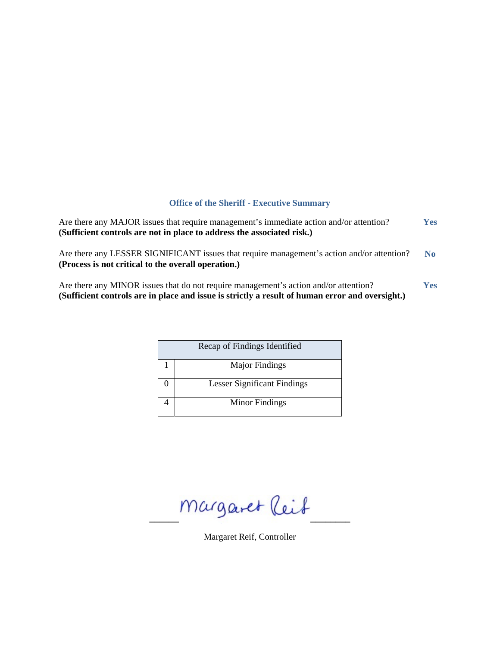# **Office of the Sheriff - Executive Summary**

| Are there any MAJOR issues that require management's immediate action and/or attention?<br>(Sufficient controls are not in place to address the associated risk.)                       | <b>Yes</b> |
|-----------------------------------------------------------------------------------------------------------------------------------------------------------------------------------------|------------|
| Are there any LESSER SIGNIFICANT issues that require management's action and/or attention?<br>(Process is not critical to the overall operation.)                                       | No.        |
| Are there any MINOR issues that do not require management's action and/or attention?<br>(Sufficient controls are in place and issue is strictly a result of human error and oversight.) | <b>Yes</b> |

| Recap of Findings Identified       |
|------------------------------------|
| <b>Major Findings</b>              |
| <b>Lesser Significant Findings</b> |
| Minor Findings                     |

 $Margaret$  leit

Margaret Reif, Controller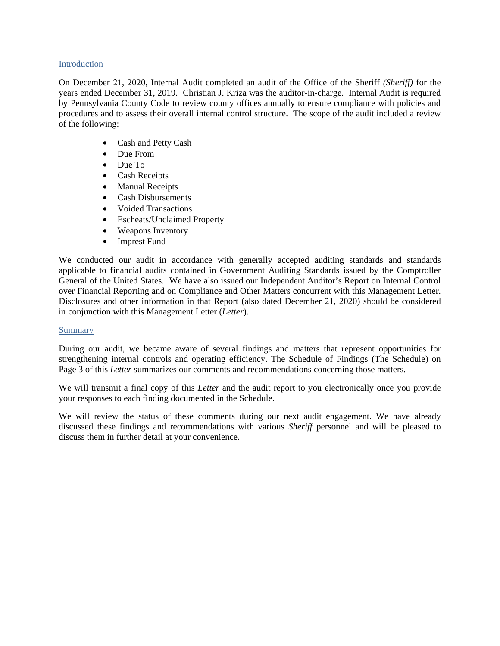# Introduction

On December 21, 2020, Internal Audit completed an audit of the Office of the Sheriff *(Sheriff)* for the years ended December 31, 2019. Christian J. Kriza was the auditor-in-charge. Internal Audit is required by Pennsylvania County Code to review county offices annually to ensure compliance with policies and procedures and to assess their overall internal control structure. The scope of the audit included a review of the following:

- Cash and Petty Cash
- Due From
- Due To
- Cash Receipts
- Manual Receipts
- Cash Disbursements
- Voided Transactions
- Escheats/Unclaimed Property
- Weapons Inventory
- Imprest Fund

We conducted our audit in accordance with generally accepted auditing standards and standards applicable to financial audits contained in Government Auditing Standards issued by the Comptroller General of the United States. We have also issued our Independent Auditor's Report on Internal Control over Financial Reporting and on Compliance and Other Matters concurrent with this Management Letter. Disclosures and other information in that Report (also dated December 21, 2020) should be considered in conjunction with this Management Letter (*Letter*).

# Summary

During our audit, we became aware of several findings and matters that represent opportunities for strengthening internal controls and operating efficiency. The Schedule of Findings (The Schedule) on Page 3 of this *Letter* summarizes our comments and recommendations concerning those matters.

We will transmit a final copy of this *Letter* and the audit report to you electronically once you provide your responses to each finding documented in the Schedule.

We will review the status of these comments during our next audit engagement. We have already discussed these findings and recommendations with various *Sheriff* personnel and will be pleased to discuss them in further detail at your convenience.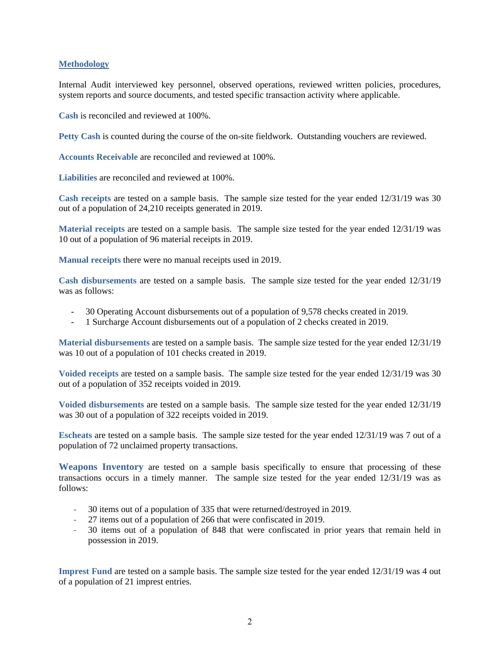# **Methodology**

Internal Audit interviewed key personnel, observed operations, reviewed written policies, procedures, system reports and source documents, and tested specific transaction activity where applicable.

**Cash** is reconciled and reviewed at 100%.

**Petty Cash** is counted during the course of the on-site fieldwork. Outstanding vouchers are reviewed.

**Accounts Receivable** are reconciled and reviewed at 100%.

**Liabilities** are reconciled and reviewed at 100%.

**Cash receipts** are tested on a sample basis. The sample size tested for the year ended 12/31/19 was 30 out of a population of 24,210 receipts generated in 2019.

**Material receipts** are tested on a sample basis. The sample size tested for the year ended 12/31/19 was 10 out of a population of 96 material receipts in 2019.

**Manual receipts** there were no manual receipts used in 2019.

**Cash disbursements** are tested on a sample basis. The sample size tested for the year ended 12/31/19 was as follows:

- 30 Operating Account disbursements out of a population of 9,578 checks created in 2019.
- 1 Surcharge Account disbursements out of a population of 2 checks created in 2019.

**Material disbursements** are tested on a sample basis. The sample size tested for the year ended 12/31/19 was 10 out of a population of 101 checks created in 2019.

**Voided receipts** are tested on a sample basis. The sample size tested for the year ended 12/31/19 was 30 out of a population of 352 receipts voided in 2019.

**Voided disbursements** are tested on a sample basis. The sample size tested for the year ended 12/31/19 was 30 out of a population of 322 receipts voided in 2019.

**Escheats** are tested on a sample basis. The sample size tested for the year ended 12/31/19 was 7 out of a population of 72 unclaimed property transactions.

**Weapons Inventory** are tested on a sample basis specifically to ensure that processing of these transactions occurs in a timely manner. The sample size tested for the year ended 12/31/19 was as follows:

- 30 items out of a population of 335 that were returned/destroyed in 2019.
- 27 items out of a population of 266 that were confiscated in 2019.
- 30 items out of a population of 848 that were confiscated in prior years that remain held in possession in 2019.

**Imprest Fund** are tested on a sample basis. The sample size tested for the year ended 12/31/19 was 4 out of a population of 21 imprest entries.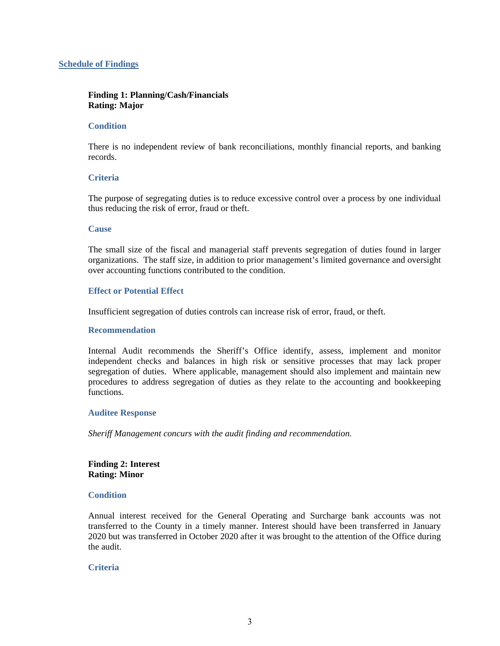# **Schedule of Findings**

# **Finding 1: Planning/Cash/Financials Rating: Major**

# **Condition**

There is no independent review of bank reconciliations, monthly financial reports, and banking records.

# **Criteria**

The purpose of segregating duties is to reduce excessive control over a process by one individual thus reducing the risk of error, fraud or theft.

# **Cause**

The small size of the fiscal and managerial staff prevents segregation of duties found in larger organizations. The staff size, in addition to prior management's limited governance and oversight over accounting functions contributed to the condition.

# **Effect or Potential Effect**

Insufficient segregation of duties controls can increase risk of error, fraud, or theft.

# **Recommendation**

Internal Audit recommends the Sheriff's Office identify, assess, implement and monitor independent checks and balances in high risk or sensitive processes that may lack proper segregation of duties. Where applicable, management should also implement and maintain new procedures to address segregation of duties as they relate to the accounting and bookkeeping functions.

# **Auditee Response**

*Sheriff Management concurs with the audit finding and recommendation.*

**Finding 2: Interest Rating: Minor** 

# **Condition**

Annual interest received for the General Operating and Surcharge bank accounts was not transferred to the County in a timely manner. Interest should have been transferred in January 2020 but was transferred in October 2020 after it was brought to the attention of the Office during the audit.

# **Criteria**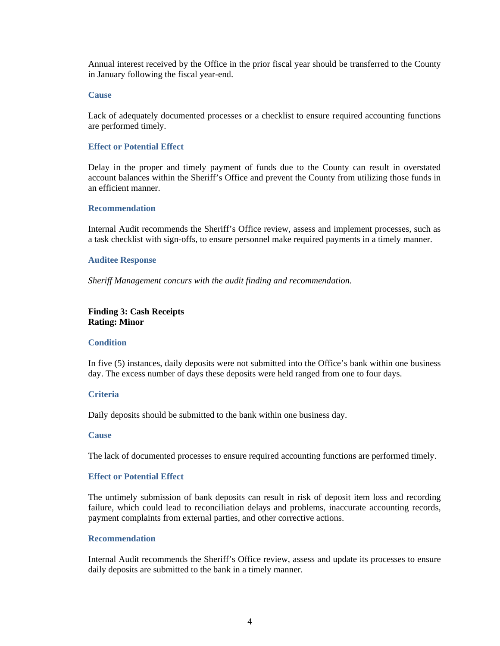Annual interest received by the Office in the prior fiscal year should be transferred to the County in January following the fiscal year-end.

#### **Cause**

Lack of adequately documented processes or a checklist to ensure required accounting functions are performed timely.

#### **Effect or Potential Effect**

Delay in the proper and timely payment of funds due to the County can result in overstated account balances within the Sheriff's Office and prevent the County from utilizing those funds in an efficient manner.

#### **Recommendation**

Internal Audit recommends the Sheriff's Office review, assess and implement processes, such as a task checklist with sign-offs, to ensure personnel make required payments in a timely manner.

#### **Auditee Response**

*Sheriff Management concurs with the audit finding and recommendation.*

# **Finding 3: Cash Receipts Rating: Minor**

#### **Condition**

In five (5) instances, daily deposits were not submitted into the Office's bank within one business day. The excess number of days these deposits were held ranged from one to four days.

#### **Criteria**

Daily deposits should be submitted to the bank within one business day.

# **Cause**

The lack of documented processes to ensure required accounting functions are performed timely.

# **Effect or Potential Effect**

The untimely submission of bank deposits can result in risk of deposit item loss and recording failure, which could lead to reconciliation delays and problems, inaccurate accounting records, payment complaints from external parties, and other corrective actions.

# **Recommendation**

Internal Audit recommends the Sheriff's Office review, assess and update its processes to ensure daily deposits are submitted to the bank in a timely manner.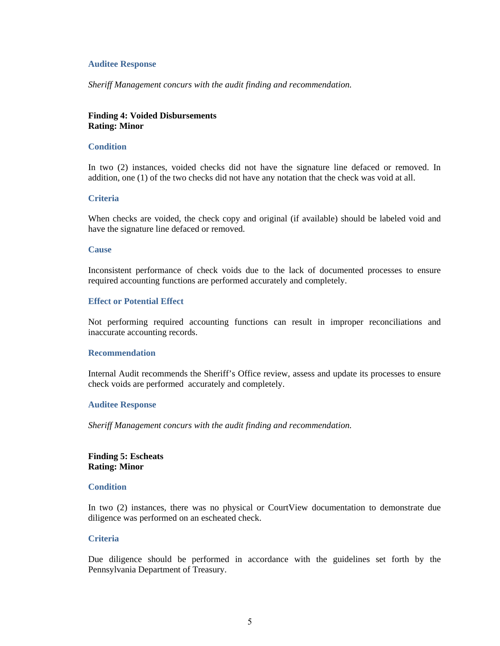#### **Auditee Response**

*Sheriff Management concurs with the audit finding and recommendation.*

# **Finding 4: Voided Disbursements Rating: Minor**

#### **Condition**

In two (2) instances, voided checks did not have the signature line defaced or removed. In addition, one (1) of the two checks did not have any notation that the check was void at all.

#### **Criteria**

When checks are voided, the check copy and original (if available) should be labeled void and have the signature line defaced or removed.

#### **Cause**

Inconsistent performance of check voids due to the lack of documented processes to ensure required accounting functions are performed accurately and completely.

# **Effect or Potential Effect**

Not performing required accounting functions can result in improper reconciliations and inaccurate accounting records.

#### **Recommendation**

Internal Audit recommends the Sheriff's Office review, assess and update its processes to ensure check voids are performed accurately and completely.

#### **Auditee Response**

*Sheriff Management concurs with the audit finding and recommendation.*

# **Finding 5: Escheats Rating: Minor**

#### **Condition**

In two (2) instances, there was no physical or CourtView documentation to demonstrate due diligence was performed on an escheated check.

# **Criteria**

Due diligence should be performed in accordance with the guidelines set forth by the Pennsylvania Department of Treasury.